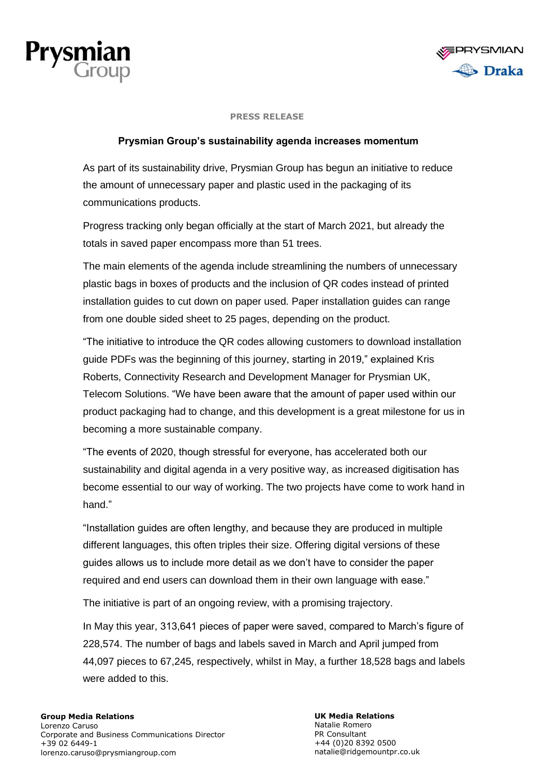



### **PRESS RELEASE**

# **Prysmian Group's sustainability agenda increases momentum**

As part of its sustainability drive, Prysmian Group has begun an initiative to reduce the amount of unnecessary paper and plastic used in the packaging of its communications products.

Progress tracking only began officially at the start of March 2021, but already the totals in saved paper encompass more than 51 trees.

The main elements of the agenda include streamlining the numbers of unnecessary plastic bags in boxes of products and the inclusion of QR codes instead of printed installation guides to cut down on paper used. Paper installation guides can range from one double sided sheet to 25 pages, depending on the product.

"The initiative to introduce the QR codes allowing customers to download installation guide PDFs was the beginning of this journey, starting in 2019," explained Kris Roberts, Connectivity Research and Development Manager for Prysmian UK, Telecom Solutions. "We have been aware that the amount of paper used within our product packaging had to change, and this development is a great milestone for us in becoming a more sustainable company.

"The events of 2020, though stressful for everyone, has accelerated both our sustainability and digital agenda in a very positive way, as increased digitisation has become essential to our way of working. The two projects have come to work hand in hand."

"Installation guides are often lengthy, and because they are produced in multiple different languages, this often triples their size. Offering digital versions of these guides allows us to include more detail as we don't have to consider the paper required and end users can download them in their own language with ease."

The initiative is part of an ongoing review, with a promising trajectory.

In May this year, 313,641 pieces of paper were saved, compared to March's figure of 228,574. The number of bags and labels saved in March and April jumped from 44,097 pieces to 67,245, respectively, whilst in May, a further 18,528 bags and labels were added to this.

## **Group Media Relations**

Lorenzo Caruso Corporate and Business Communications Director +39 02 6449-1 lorenzo.caruso@prysmiangroup.com

**UK Media Relations** Natalie Romero PR Consultant +44 (0)20 8392 0500 natalie@ridgemountpr.co.uk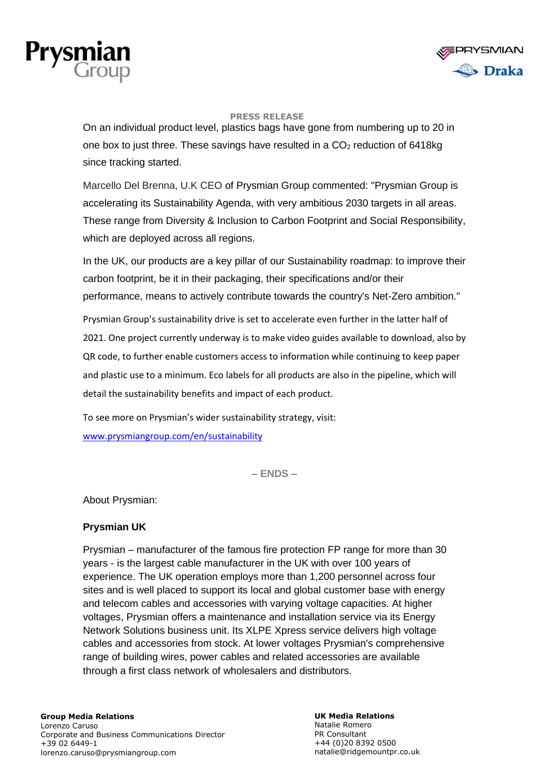



### **PRESS RELEASE**

On an individual product level, plastics bags have gone from numbering up to 20 in one box to just three. These savings have resulted in a  $CO<sub>2</sub>$  reduction of 6418kg since tracking started.

Marcello Del Brenna, U.K CEO of Prysmian Group commented: "Prysmian Group is accelerating its Sustainability Agenda, with very ambitious 2030 targets in all areas. These range from Diversity & Inclusion to Carbon Footprint and Social Responsibility, which are deployed across all regions.

In the UK, our products are a key pillar of our Sustainability roadmap: to improve their carbon footprint, be it in their packaging, their specifications and/or their performance, means to actively contribute towards the country's Net-Zero ambition."

Prysmian Group's sustainability drive is set to accelerate even further in the latter half of 2021. One project currently underway is to make video guides available to download, also by QR code, to further enable customers access to information while continuing to keep paper and plastic use to a minimum. Eco labels for all products are also in the pipeline, which will detail the sustainability benefits and impact of each product.

To see more on Prysmian's wider sustainability strategy, visit: [www.prysmiangroup.com/en/sustainability](https://www.prysmiangroup.com/en/sustainability)

**– ENDS –**

About Prysmian:

## **Prysmian UK**

Prysmian – manufacturer of the famous fire protection FP range for more than 30 years - is the largest cable manufacturer in the UK with over 100 years of experience. The UK operation employs more than 1,200 personnel across four sites and is well placed to support its local and global customer base with energy and telecom cables and accessories with varying voltage capacities. At higher voltages, Prysmian offers a maintenance and installation service via its Energy Network Solutions business unit. Its XLPE Xpress service delivers high voltage cables and accessories from stock. At lower voltages Prysmian's comprehensive range of building wires, power cables and related accessories are available through a first class network of wholesalers and distributors.

# **Group Media Relations**

Lorenzo Caruso Corporate and Business Communications Director +39 02 6449-1 lorenzo.caruso@prysmiangroup.com

**UK Media Relations** Natalie Romero PR Consultant +44 (0)20 8392 0500 natalie@ridgemountpr.co.uk